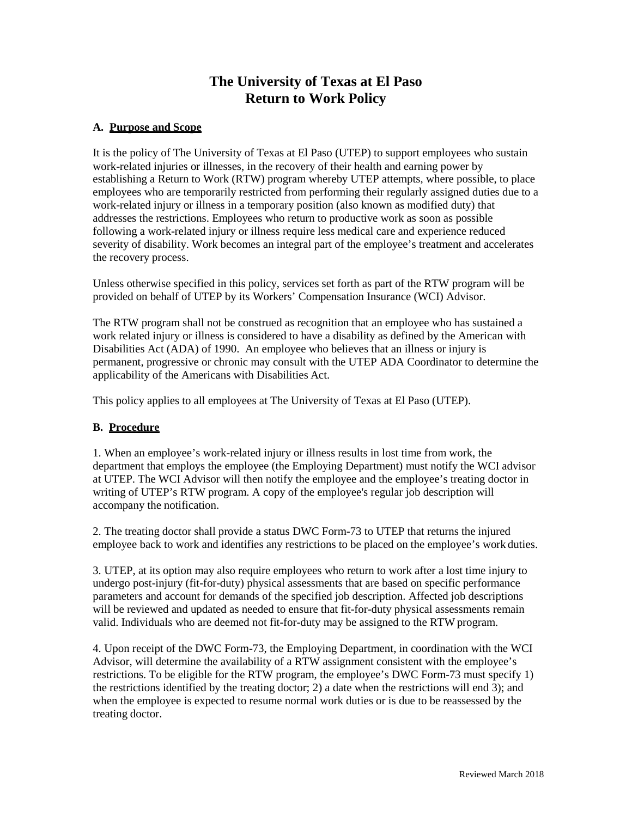# **The University of Texas at El Paso Return to Work Policy**

## **A. Purpose and Scope**

It is the policy of The University of Texas at El Paso (UTEP) to support employees who sustain work-related injuries or illnesses, in the recovery of their health and earning power by establishing a Return to Work (RTW) program whereby UTEP attempts, where possible, to place employees who are temporarily restricted from performing their regularly assigned duties due to a work-related injury or illness in a temporary position (also known as modified duty) that addresses the restrictions. Employees who return to productive work as soon as possible following a work-related injury or illness require less medical care and experience reduced severity of disability. Work becomes an integral part of the employee's treatment and accelerates the recovery process.

Unless otherwise specified in this policy, services set forth as part of the RTW program will be provided on behalf of UTEP by its Workers' Compensation Insurance (WCI) Advisor.

The RTW program shall not be construed as recognition that an employee who has sustained a work related injury or illness is considered to have a disability as defined by the American with Disabilities Act (ADA) of 1990. An employee who believes that an illness or injury is permanent, progressive or chronic may consult with the UTEP ADA Coordinator to determine the applicability of the Americans with Disabilities Act.

This policy applies to all employees at The University of Texas at El Paso (UTEP).

## **B. Procedure**

1. When an employee's work-related injury or illness results in lost time from work, the department that employs the employee (the Employing Department) must notify the WCI advisor at UTEP. The WCI Advisor will then notify the employee and the employee's treating doctor in writing of UTEP's RTW program. A copy of the employee's regular job description will accompany the notification.

2. The treating doctor shall provide a status DWC Form-73 to UTEP that returns the injured employee back to work and identifies any restrictions to be placed on the employee's work duties.

3. UTEP, at its option may also require employees who return to work after a lost time injury to undergo post-injury (fit-for-duty) physical assessments that are based on specific performance parameters and account for demands of the specified job description. Affected job descriptions will be reviewed and updated as needed to ensure that fit-for-duty physical assessments remain valid. Individuals who are deemed not fit-for-duty may be assigned to the RTW program.

4. Upon receipt of the DWC Form-73, the Employing Department, in coordination with the WCI Advisor, will determine the availability of a RTW assignment consistent with the employee's restrictions. To be eligible for the RTW program, the employee's DWC Form-73 must specify 1) the restrictions identified by the treating doctor; 2) a date when the restrictions will end 3); and when the employee is expected to resume normal work duties or is due to be reassessed by the treating doctor.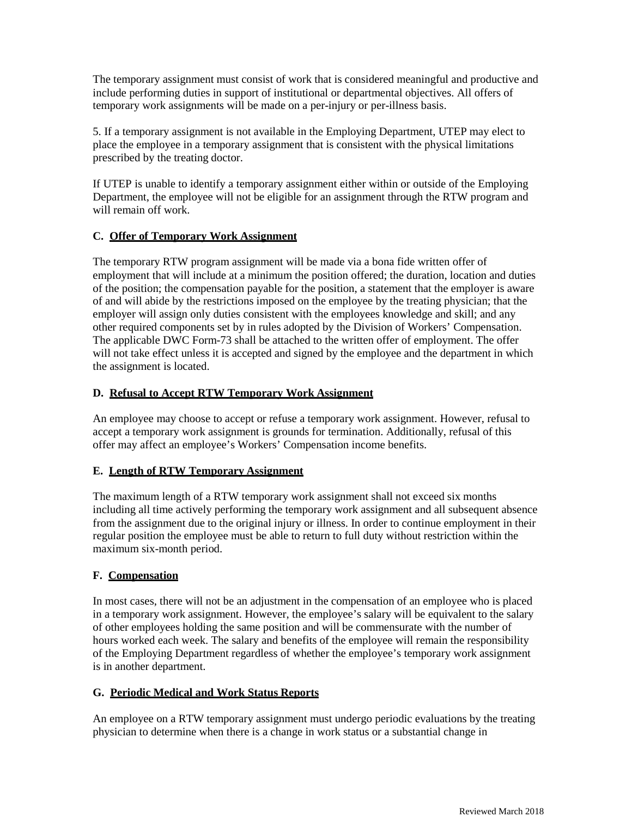The temporary assignment must consist of work that is considered meaningful and productive and include performing duties in support of institutional or departmental objectives. All offers of temporary work assignments will be made on a per-injury or per-illness basis.

5. If a temporary assignment is not available in the Employing Department, UTEP may elect to place the employee in a temporary assignment that is consistent with the physical limitations prescribed by the treating doctor.

If UTEP is unable to identify a temporary assignment either within or outside of the Employing Department, the employee will not be eligible for an assignment through the RTW program and will remain off work.

### **C. Offer of Temporary Work Assignment**

The temporary RTW program assignment will be made via a bona fide written offer of employment that will include at a minimum the position offered; the duration, location and duties of the position; the compensation payable for the position, a statement that the employer is aware of and will abide by the restrictions imposed on the employee by the treating physician; that the employer will assign only duties consistent with the employees knowledge and skill; and any other required components set by in rules adopted by the Division of Workers' Compensation. The applicable DWC Form-73 shall be attached to the written offer of employment. The offer will not take effect unless it is accepted and signed by the employee and the department in which the assignment is located.

#### **D. Refusal to Accept RTW Temporary Work Assignment**

An employee may choose to accept or refuse a temporary work assignment. However, refusal to accept a temporary work assignment is grounds for termination. Additionally, refusal of this offer may affect an employee's Workers' Compensation income benefits.

## **E. Length of RTW Temporary Assignment**

The maximum length of a RTW temporary work assignment shall not exceed six months including all time actively performing the temporary work assignment and all subsequent absence from the assignment due to the original injury or illness. In order to continue employment in their regular position the employee must be able to return to full duty without restriction within the maximum six-month period.

#### **F. Compensation**

In most cases, there will not be an adjustment in the compensation of an employee who is placed in a temporary work assignment. However, the employee's salary will be equivalent to the salary of other employees holding the same position and will be commensurate with the number of hours worked each week. The salary and benefits of the employee will remain the responsibility of the Employing Department regardless of whether the employee's temporary work assignment is in another department.

## **G. Periodic Medical and Work Status Reports**

An employee on a RTW temporary assignment must undergo periodic evaluations by the treating physician to determine when there is a change in work status or a substantial change in